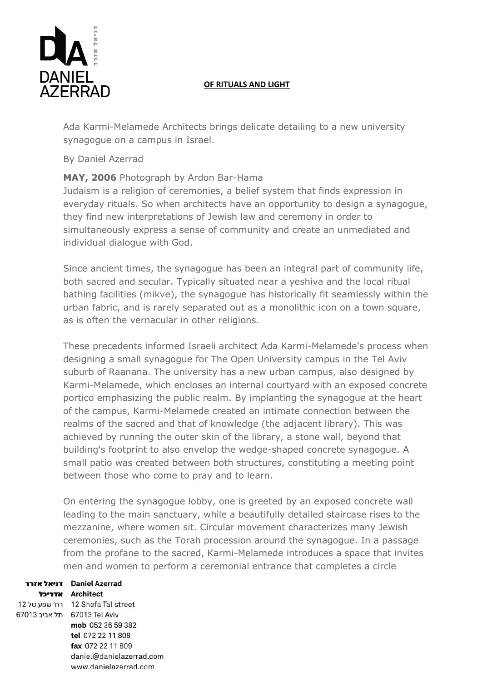

## **OF RITUALS AND LIGHT**

Ada Karmi-Melamede Architects brings delicate detailing to a new university synagogue on a campus in Israel.

## By Daniel Azerrad

## **MAY, 2006** Photograph by Ardon Bar-Hama

Judaism is a religion of ceremonies, a belief system that finds expression in everyday rituals. So when architects have an opportunity to design a synagogue, they find new interpretations of Jewish law and ceremony in order to simultaneously express a sense of community and create an unmediated and individual dialogue with God.

Since ancient times, the synagogue has been an integral part of community life, both sacred and secular. Typically situated near a yeshiva and the local ritual bathing facilities (mikve), the synagogue has historically fit seamlessly within the urban fabric, and is rarely separated out as a monolithic icon on a town square, as is often the vernacular in other religions.

These precedents informed Israeli architect Ada Karmi-Melamede's process when designing a small synagogue for The Open University campus in the Tel Aviv suburb of Raanana. The university has a new urban campus, also designed by Karmi-Melamede, which encloses an internal courtyard with an exposed concrete portico emphasizing the public realm. By implanting the synagogue at the heart of the campus, Karmi-Melamede created an intimate connection between the realms of the sacred and that of knowledge (the adjacent library). This was achieved by running the outer skin of the library, a stone wall, beyond that building's footprint to also envelop the wedge-shaped concrete synagogue. A small patio was created between both structures, constituting a meeting point between those who come to pray and to learn.

On entering the synagogue lobby, one is greeted by an exposed concrete wall leading to the main sanctuary, while a beautifully detailed staircase rises to the mezzanine, where women sit. Circular movement characterizes many Jewish ceremonies, such as the Torah procession around the synagogue. In a passage from the profane to the sacred, Karmi-Melamede introduces a space that invites men and women to perform a ceremonial entrance that completes a circle

## Daniel Azerrad | דניאל אזרד

12 Shefa Tal street | רח׳ שפע טל 67013 Tel Aviv ∫ תל אביב 67013

Architect | אדריכל mob 052 36 59 382 tel 072 22 11 808 fax 072 22 11 809 daniel@danielazerrad.com www.danielazerrad.com